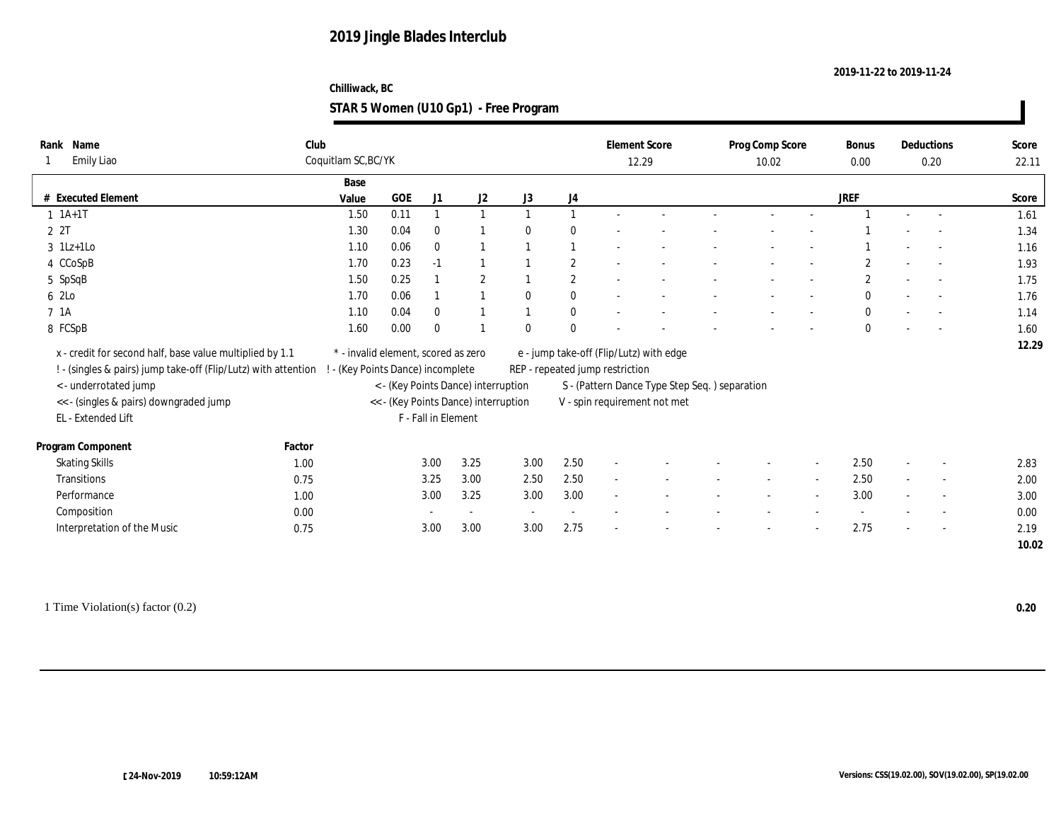#### **Chilliwack, BC STAR 5 Women (U10 Gp1) - Free Program**

| Rank Name                                                      | Club   |                                     |      |                     |                                      |                |              |                                 | <b>Element Score</b>                           | Prog Comp Score |                          | Bonus        |                          | Deductions               | Score |
|----------------------------------------------------------------|--------|-------------------------------------|------|---------------------|--------------------------------------|----------------|--------------|---------------------------------|------------------------------------------------|-----------------|--------------------------|--------------|--------------------------|--------------------------|-------|
| Emily Liao                                                     |        | Coquitlam SC, BC/YK                 |      |                     |                                      |                |              |                                 | 12.29                                          | 10.02           |                          | 0.00         |                          | 0.20                     | 22.11 |
|                                                                |        | Base                                |      |                     |                                      |                |              |                                 |                                                |                 |                          |              |                          |                          |       |
| # Executed Element                                             |        | Value                               | GOE  | J1                  | J2                                   | J3             | J4           |                                 |                                                |                 |                          | <b>JREF</b>  |                          |                          | Score |
| $1 \t1A+1T$                                                    |        | 1.50                                | 0.11 |                     | $\mathbf{1}$                         |                | $\mathbf{1}$ |                                 |                                                |                 |                          |              | $\sim$                   | $\sim$                   | 1.61  |
| 2 2T                                                           |        | 1.30                                | 0.04 | $\mathbf{0}$        |                                      | $\mathbf{0}$   | $\theta$     |                                 |                                                |                 |                          |              |                          |                          | 1.34  |
| $3$ 1Lz+1Lo                                                    |        | 1.10                                | 0.06 | $\bf{0}$            |                                      |                | $\mathbf{1}$ |                                 |                                                |                 |                          |              |                          |                          | 1.16  |
| 4 CCoSpB                                                       |        | 1.70                                | 0.23 | $-1$                | 1                                    |                | $\mathbf{2}$ |                                 |                                                |                 |                          | $\mathbf{2}$ | $\overline{\phantom{a}}$ |                          | 1.93  |
| 5 SpSqB                                                        |        | 1.50                                | 0.25 |                     | $\boldsymbol{2}$                     |                | $\mathbf{2}$ |                                 |                                                |                 |                          | $\mathbf{2}$ |                          |                          | 1.75  |
| 6 2Lo                                                          |        | 1.70                                | 0.06 |                     | $\overline{1}$                       | $\theta$       | $\bf{0}$     |                                 |                                                |                 | $\sim$                   | $\mathbf{0}$ | $\sim$                   | $\sim$                   | 1.76  |
| 7 1A                                                           |        | 1.10                                | 0.04 | $\mathbf{0}$        | $\overline{1}$                       | $\overline{1}$ | $\bf{0}$     |                                 |                                                |                 |                          | $\mathbf{0}$ |                          | $\overline{\phantom{a}}$ | 1.14  |
| 8 FCSpB                                                        |        | 1.60                                | 0.00 | $\mathbf{0}$        |                                      | $\theta$       | $\mathbf{0}$ |                                 |                                                |                 |                          | $\mathbf{0}$ |                          |                          | 1.60  |
| x - credit for second half, base value multiplied by 1.1       |        | * - invalid element, scored as zero |      |                     |                                      |                |              |                                 | e - jump take-off (Flip/Lutz) with edge        |                 |                          |              |                          |                          | 12.29 |
| ! - (singles & pairs) jump take-off (Flip/Lutz) with attention |        | - (Key Points Dance) incomplete     |      |                     |                                      |                |              | REP - repeated jump restriction |                                                |                 |                          |              |                          |                          |       |
| <- underrotated jump                                           |        |                                     |      |                     | < - (Key Points Dance) interruption  |                |              |                                 | S - (Pattern Dance Type Step Seq. ) separation |                 |                          |              |                          |                          |       |
| << - (singles & pairs) downgraded jump                         |        |                                     |      |                     | << - (Key Points Dance) interruption |                |              |                                 | V - spin requirement not met                   |                 |                          |              |                          |                          |       |
| EL - Extended Lift                                             |        |                                     |      | F - Fall in Element |                                      |                |              |                                 |                                                |                 |                          |              |                          |                          |       |
|                                                                |        |                                     |      |                     |                                      |                |              |                                 |                                                |                 |                          |              |                          |                          |       |
| Program Component                                              | Factor |                                     |      |                     |                                      |                |              |                                 |                                                |                 |                          |              |                          |                          |       |
| <b>Skating Skills</b>                                          | 1.00   |                                     |      | 3.00                | 3.25                                 | 3.00           | 2.50         | $\sim$                          |                                                |                 |                          | 2.50         |                          |                          | 2.83  |
| Transitions                                                    | 0.75   |                                     |      | 3.25                | 3.00                                 | 2.50           | 2.50         | $\sim$                          |                                                |                 | $\sim$                   | 2.50         | $\sim$                   | $\overline{\phantom{a}}$ | 2.00  |
| Performance                                                    | 1.00   |                                     |      | 3.00                | 3.25                                 | 3.00           | 3.00         | $\overline{\phantom{a}}$        |                                                |                 | $\sim$                   | 3.00         | $\sim$                   | $\sim$                   | 3.00  |
| Composition                                                    | 0.00   |                                     |      |                     | $\sim$                               | $\sim$         | $\sim$       |                                 |                                                |                 |                          | $\sim$       |                          | $\overline{\phantom{a}}$ | 0.00  |
| Interpretation of the Music                                    | 0.75   |                                     |      | 3.00                | 3.00                                 | 3.00           | 2.75         | ÷                               |                                                |                 | $\overline{\phantom{a}}$ | 2.75         |                          | $\overline{\phantom{a}}$ | 2.19  |
|                                                                |        |                                     |      |                     |                                      |                |              |                                 |                                                |                 |                          |              |                          |                          | 10.02 |
|                                                                |        |                                     |      |                     |                                      |                |              |                                 |                                                |                 |                          |              |                          |                          |       |

1 Time Violation(s) factor (0.2) **0.20**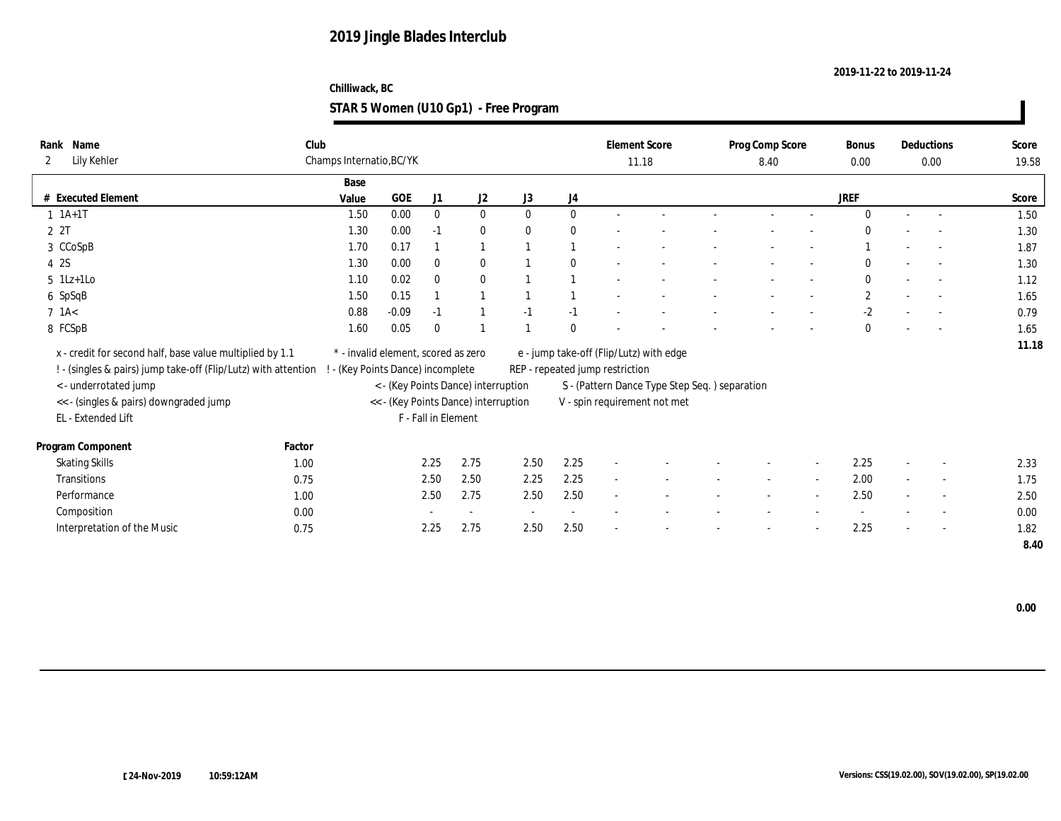### **Chilliwack, BC STAR 5 Women (U10 Gp1) - Free Program**

| Name<br>Rank                                                   | Club   |                                     |         |                     |                                      |              |              | <b>Element Score</b>            |                                               | Prog Comp Score |                          | Bonus        |        | Deductions               | Score |
|----------------------------------------------------------------|--------|-------------------------------------|---------|---------------------|--------------------------------------|--------------|--------------|---------------------------------|-----------------------------------------------|-----------------|--------------------------|--------------|--------|--------------------------|-------|
| Lily Kehler<br>$\mathbf{2}$                                    |        | Champs Internatio, BC/YK            |         |                     |                                      |              |              | 11.18                           |                                               | 8.40            |                          | 0.00         |        | 0.00                     | 19.58 |
|                                                                |        | Base                                |         |                     |                                      |              |              |                                 |                                               |                 |                          |              |        |                          |       |
| # Executed Element                                             |        | Value                               | GOE     | J1                  | J2                                   | J3           | J4           |                                 |                                               |                 |                          | <b>JREF</b>  |        |                          | Score |
| $1 \t1A+1T$                                                    |        | 1.50                                | 0.00    | $\mathbf{0}$        | $\bf{0}$                             | $\mathbf{0}$ | $\mathbf{0}$ |                                 |                                               |                 | $\overline{\phantom{a}}$ | $\mathbf{0}$ | $\sim$ | $\sim$                   | 1.50  |
| 2 2T                                                           |        | 1.30                                | 0.00    | $-1$                | $\bf{0}$                             | $\mathbf{0}$ | $\mathbf{0}$ |                                 |                                               |                 |                          | $\Omega$     |        |                          | 1.30  |
| 3 CCoSpB                                                       |        | 1.70                                | 0.17    |                     | $\mathbf{1}$                         |              |              |                                 |                                               |                 |                          |              |        |                          | 1.87  |
| 4 2S                                                           |        | 1.30                                | 0.00    | $\bf{0}$            | $\bf{0}$                             |              | $\mathbf{0}$ |                                 |                                               |                 |                          | $\mathbf{0}$ |        | $\sim$                   | 1.30  |
| $5 \text{ } 1\text{Lz+1Lo}$                                    |        | 1.10                                | 0.02    | $\bf{0}$            | $\bf{0}$                             |              |              |                                 |                                               |                 |                          | $\mathbf{0}$ |        |                          | 1.12  |
| 6 SpSqB                                                        |        | 1.50                                | 0.15    |                     | $\overline{1}$                       |              |              |                                 |                                               |                 |                          | $\mathbf{2}$ |        | $\overline{a}$           | 1.65  |
| $7$ 1A $<$                                                     |        | 0.88                                | $-0.09$ | $-1$                | $\overline{1}$                       | $-1$         | $-1$         |                                 |                                               |                 |                          | $-2$         |        | $\sim$                   | 0.79  |
| 8 FCSpB                                                        |        | 1.60                                | 0.05    | $\theta$            |                                      |              | $\mathbf{0}$ |                                 |                                               |                 |                          | $\mathbf{0}$ |        |                          | 1.65  |
| x - credit for second half, base value multiplied by 1.1       |        | * - invalid element, scored as zero |         |                     |                                      |              |              |                                 | e - jump take-off (Flip/Lutz) with edge       |                 |                          |              |        |                          | 11.18 |
| ! - (singles & pairs) jump take-off (Flip/Lutz) with attention |        | ! - (Key Points Dance) incomplete   |         |                     |                                      |              |              | REP - repeated jump restriction |                                               |                 |                          |              |        |                          |       |
| < - underrotated jump                                          |        |                                     |         |                     | < - (Key Points Dance) interruption  |              |              |                                 | S - (Pattern Dance Type Step Seq.) separation |                 |                          |              |        |                          |       |
| << - (singles & pairs) downgraded jump                         |        |                                     |         |                     | << - (Key Points Dance) interruption |              |              |                                 |                                               |                 |                          |              |        |                          |       |
| EL - Extended Lift                                             |        |                                     |         | F - Fall in Element |                                      |              |              |                                 | V - spin requirement not met                  |                 |                          |              |        |                          |       |
|                                                                |        |                                     |         |                     |                                      |              |              |                                 |                                               |                 |                          |              |        |                          |       |
| Program Component                                              | Factor |                                     |         |                     |                                      |              |              |                                 |                                               |                 |                          |              |        |                          |       |
| <b>Skating Skills</b>                                          | 1.00   |                                     |         | 2.25                | 2.75                                 | 2.50         | 2.25         | $\sim$                          |                                               |                 |                          | 2.25         | $\sim$ | $\sim$                   | 2.33  |
| <b>Transitions</b>                                             | 0.75   |                                     |         | 2.50                | 2.50                                 | 2.25         | 2.25         | $\sim$                          |                                               | $\sim$          | $\sim$                   | 2.00         | $\sim$ | $\sim$                   | 1.75  |
| Performance                                                    | 1.00   |                                     |         | 2.50                | 2.75                                 | 2.50         | 2.50         | $\sim$                          |                                               |                 | $\overline{\phantom{a}}$ | 2.50         |        | $\sim$                   | 2.50  |
| Composition                                                    | 0.00   |                                     |         |                     | $\sim$                               | $\sim$       | $\sim$       |                                 |                                               |                 |                          |              |        | $\overline{\phantom{a}}$ | 0.00  |
| Interpretation of the Music                                    | 0.75   |                                     |         | 2.25                | 2.75                                 | 2.50         | 2.50         |                                 |                                               |                 |                          | 2.25         |        | $\overline{a}$           | 1.82  |
|                                                                |        |                                     |         |                     |                                      |              |              |                                 |                                               |                 |                          |              |        |                          | 8.40  |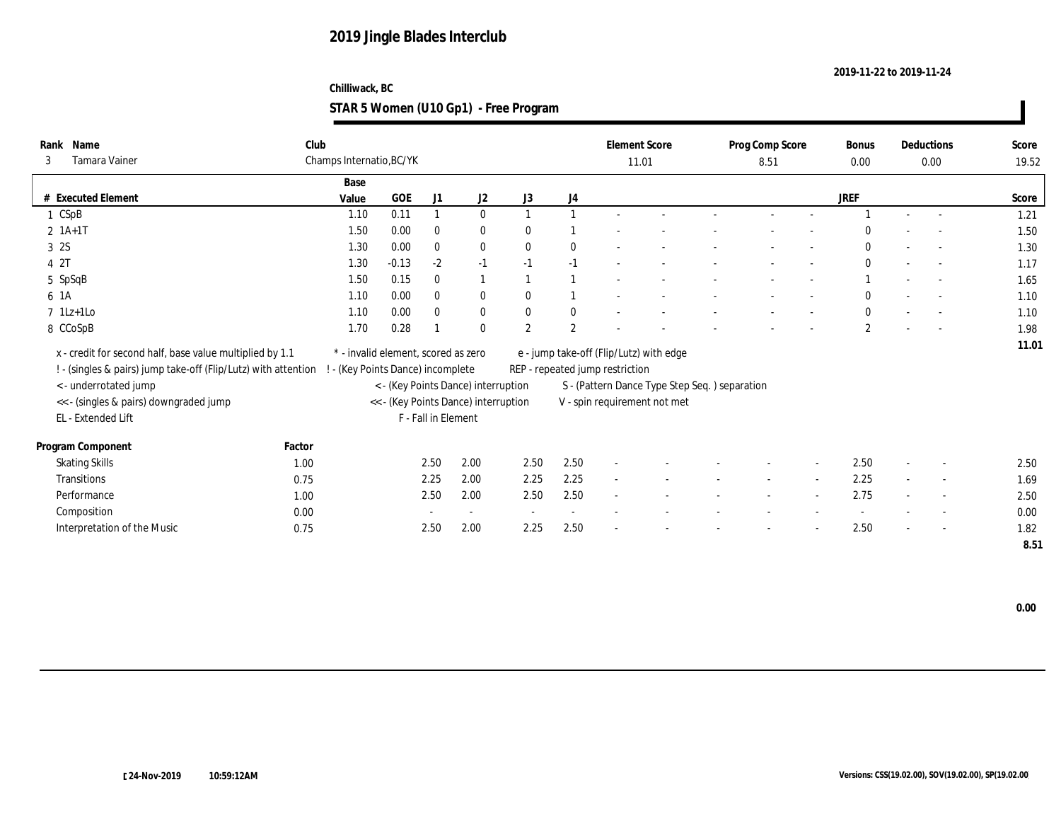### **Chilliwack, BC STAR 5 Women (U10 Gp1) - Free Program**

| Name<br>Rank                                                   | Club   |                                     |            |                     |                                      |                |                          |                                 | <b>Element Score</b>                          | Prog Comp Score |                          | Bonus        |        | Deductions               | Score |
|----------------------------------------------------------------|--------|-------------------------------------|------------|---------------------|--------------------------------------|----------------|--------------------------|---------------------------------|-----------------------------------------------|-----------------|--------------------------|--------------|--------|--------------------------|-------|
| Tamara Vainer<br>3                                             |        | Champs Internatio, BC/YK            |            |                     |                                      |                |                          |                                 | 11.01                                         | 8.51            |                          | $0.00\,$     |        | $0.00\,$                 | 19.52 |
|                                                                |        | Base                                |            |                     |                                      |                |                          |                                 |                                               |                 |                          |              |        |                          |       |
| # Executed Element                                             |        | Value                               | <b>GOE</b> | J1                  | J <sub>2</sub>                       | J3             | J4                       |                                 |                                               |                 |                          | <b>JREF</b>  |        |                          | Score |
| 1 CSpB                                                         |        | 1.10                                | 0.11       |                     | $\mathbf{0}$                         | $\mathbf{1}$   |                          |                                 |                                               |                 |                          |              | $\sim$ | $\overline{a}$           | 1.21  |
| $2 \; 1A+1T$                                                   |        | 1.50                                | 0.00       | $\bf{0}$            | $\bf{0}$                             | $\mathbf{0}$   |                          |                                 |                                               |                 |                          | $\Omega$     |        |                          | 1.50  |
| 3 2S                                                           |        | 1.30                                | 0.00       | $\bf{0}$            | $\bf{0}$                             | $\theta$       | $\mathbf{0}$             |                                 |                                               |                 |                          | $\theta$     |        | $\sim$                   | 1.30  |
| 4 2T                                                           |        | 1.30                                | $-0.13$    | $-2$                | $-1$                                 | $-1$           | $-1$                     |                                 |                                               |                 |                          | $\theta$     |        | $\overline{a}$           | 1.17  |
| 5 SpSqB                                                        |        | 1.50                                | 0.15       | $\bf{0}$            | $\mathbf{1}$                         |                |                          |                                 |                                               |                 |                          |              |        |                          | 1.65  |
| 6 1A                                                           |        | 1.10                                | 0.00       | $\mathbf{0}$        | $\bf{0}$                             | $\mathbf{0}$   |                          |                                 |                                               |                 |                          | $\theta$     |        | $\overline{a}$           | 1.10  |
| $7$ 1Lz+1Lo                                                    |        | 1.10                                | 0.00       | $\bf{0}$            | $\bf{0}$                             | $\bf{0}$       | $\bf{0}$                 |                                 |                                               |                 |                          | $\mathbf{0}$ |        |                          | 1.10  |
| 8 CCoSpB                                                       |        | 1.70                                | 0.28       |                     | $\bf{0}$                             | $\overline{2}$ | 2                        |                                 |                                               |                 |                          | $\mathbf{2}$ |        | $\overline{a}$           | 1.98  |
| x - credit for second half, base value multiplied by 1.1       |        | * - invalid element, scored as zero |            |                     |                                      |                |                          |                                 | e - jump take-off (Flip/Lutz) with edge       |                 |                          |              |        |                          | 11.01 |
| ! - (singles & pairs) jump take-off (Flip/Lutz) with attention |        | (Key Points Dance) incomplete       |            |                     |                                      |                |                          | REP - repeated jump restriction |                                               |                 |                          |              |        |                          |       |
| <- underrotated jump                                           |        |                                     |            |                     | < - (Key Points Dance) interruption  |                |                          |                                 | S - (Pattern Dance Type Step Seq.) separation |                 |                          |              |        |                          |       |
| << - (singles & pairs) downgraded jump                         |        |                                     |            |                     | << - (Key Points Dance) interruption |                |                          |                                 | V - spin requirement not met                  |                 |                          |              |        |                          |       |
| EL - Extended Lift                                             |        |                                     |            | F - Fall in Element |                                      |                |                          |                                 |                                               |                 |                          |              |        |                          |       |
|                                                                |        |                                     |            |                     |                                      |                |                          |                                 |                                               |                 |                          |              |        |                          |       |
| Program Component                                              | Factor |                                     |            |                     |                                      |                |                          |                                 |                                               |                 |                          |              |        |                          |       |
| <b>Skating Skills</b>                                          | 1.00   |                                     |            | 2.50                | 2.00                                 | 2.50           | 2.50                     | $\overline{\phantom{a}}$        |                                               |                 |                          | 2.50         |        | $\overline{\phantom{a}}$ | 2.50  |
| Transitions                                                    | 0.75   |                                     |            | 2.25                | 2.00                                 | 2.25           | 2.25                     | $\sim$                          |                                               | $\sim$          | $\sim$                   | 2.25         | $\sim$ | $\sim$                   | 1.69  |
| Performance                                                    | 1.00   |                                     |            | 2.50                | 2.00                                 | 2.50           | 2.50                     | $\sim$                          |                                               |                 | $\overline{\phantom{a}}$ | 2.75         |        | $\overline{\phantom{a}}$ | 2.50  |
| Composition                                                    | 0.00   |                                     |            |                     | $\sim$                               | $\sim$         | $\overline{\phantom{a}}$ |                                 |                                               |                 |                          |              |        | $\overline{\phantom{a}}$ | 0.00  |
| Interpretation of the Music                                    | 0.75   |                                     |            | 2.50                | 2.00                                 | 2.25           | 2.50                     |                                 |                                               |                 |                          | 2.50         |        | $\overline{\phantom{a}}$ | 1.82  |
|                                                                |        |                                     |            |                     |                                      |                |                          |                                 |                                               |                 |                          |              |        |                          | 8.51  |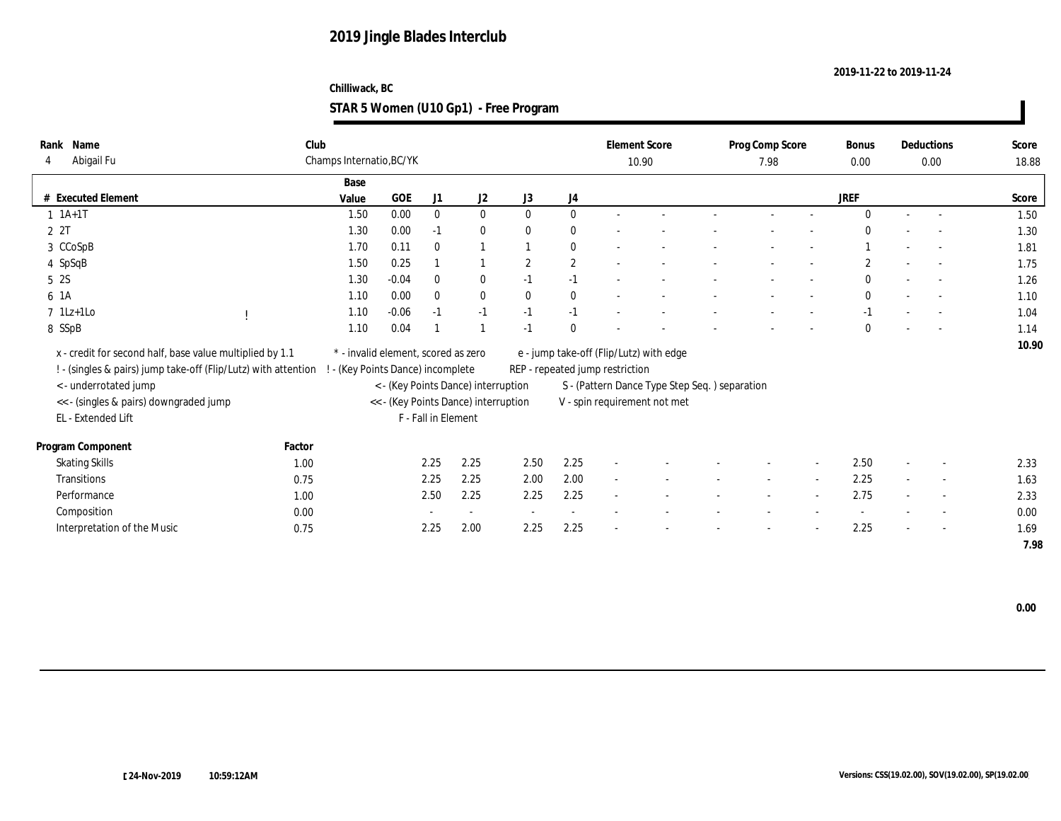### **Chilliwack, BC STAR 5 Women (U10 Gp1) - Free Program**

| Name<br>Rank                                                   | Club   |                                     |         |                     |                                      |              |              |                                 | <b>Element Score</b>                          | Prog Comp Score |                          | Bonus        |        | Deductions               | Score |
|----------------------------------------------------------------|--------|-------------------------------------|---------|---------------------|--------------------------------------|--------------|--------------|---------------------------------|-----------------------------------------------|-----------------|--------------------------|--------------|--------|--------------------------|-------|
| Abigail Fu<br>4                                                |        | Champs Internatio, BC/YK            |         |                     |                                      |              |              |                                 | 10.90                                         | 7.98            |                          | 0.00         |        | 0.00                     | 18.88 |
|                                                                |        | Base                                |         |                     |                                      |              |              |                                 |                                               |                 |                          |              |        |                          |       |
| # Executed Element                                             |        | Value                               | GOE     | J1                  | J2                                   | J3           | J4           |                                 |                                               |                 |                          | <b>JREF</b>  |        |                          | Score |
| $1 \t1A+1T$                                                    |        | 1.50                                | 0.00    | $\mathbf{0}$        | $\bf{0}$                             | $\mathbf{0}$ | $\mathbf{0}$ |                                 |                                               | $\sim$          | $\overline{\phantom{a}}$ | $\mathbf{0}$ | $\sim$ | $\sim$                   | 1.50  |
| 2 2T                                                           |        | 1.30                                | 0.00    | $-1$                | $\bf{0}$                             | $\mathbf{0}$ | $\mathbf{0}$ |                                 |                                               |                 |                          | $\Omega$     |        |                          | 1.30  |
| 3 CCoSpB                                                       |        | 1.70                                | 0.11    | $\mathbf{0}$        | $\mathbf{1}$                         |              | $\bf{0}$     |                                 |                                               |                 |                          |              |        |                          | 1.81  |
| 4 SpSqB                                                        |        | 1.50                                | 0.25    |                     | $\mathbf{1}$                         | $\mathbf{2}$ | $\mathbf{2}$ |                                 |                                               |                 |                          | $\mathbf{2}$ |        | $\sim$                   | 1.75  |
| 5 2S                                                           |        | 1.30                                | $-0.04$ | $\bf{0}$            | $\bf{0}$                             | $-1$         | $-1$         |                                 |                                               |                 |                          | $\mathbf{0}$ |        | $\sim$                   | 1.26  |
| 6 1A                                                           |        | 1.10                                | 0.00    | $\mathbf{0}$        | $\mathbf{0}$                         | $\mathbf{0}$ | $\mathbf{0}$ |                                 |                                               |                 | $\sim$                   | $\mathbf{0}$ |        | $\sim$                   | 1.10  |
| $7 \text{ } 1Lz+1Lo$                                           |        | 1.10                                | $-0.06$ | $-1$                | $-1$                                 | $-1$         | $-1$         |                                 |                                               |                 |                          | $-1$         |        | $\sim$                   | 1.04  |
| 8 SSpB                                                         |        | 1.10                                | 0.04    |                     | $\overline{1}$                       | $-1$         | $\mathbf{0}$ |                                 |                                               |                 |                          | $\mathbf{0}$ |        |                          | 1.14  |
| x - credit for second half, base value multiplied by 1.1       |        | * - invalid element, scored as zero |         |                     |                                      |              |              |                                 | e - jump take-off (Flip/Lutz) with edge       |                 |                          |              |        |                          | 10.90 |
| ! - (singles & pairs) jump take-off (Flip/Lutz) with attention |        | ! - (Key Points Dance) incomplete   |         |                     |                                      |              |              | REP - repeated jump restriction |                                               |                 |                          |              |        |                          |       |
| < - underrotated jump                                          |        |                                     |         |                     | < - (Key Points Dance) interruption  |              |              |                                 | S - (Pattern Dance Type Step Seq.) separation |                 |                          |              |        |                          |       |
| << - (singles & pairs) downgraded jump                         |        |                                     |         |                     | << - (Key Points Dance) interruption |              |              |                                 | V - spin requirement not met                  |                 |                          |              |        |                          |       |
| EL - Extended Lift                                             |        |                                     |         | F - Fall in Element |                                      |              |              |                                 |                                               |                 |                          |              |        |                          |       |
|                                                                |        |                                     |         |                     |                                      |              |              |                                 |                                               |                 |                          |              |        |                          |       |
| Program Component                                              | Factor |                                     |         |                     |                                      |              |              |                                 |                                               |                 |                          |              |        |                          |       |
| <b>Skating Skills</b>                                          | 1.00   |                                     |         | 2.25                | 2.25                                 | 2.50         | 2.25         | $\sim$                          |                                               |                 |                          | 2.50         | $\sim$ | $\sim$                   | 2.33  |
| <b>Transitions</b>                                             | 0.75   |                                     |         | 2.25                | 2.25                                 | 2.00         | 2.00         | $\sim$                          |                                               | $\sim$          | $\sim$                   | 2.25         | $\sim$ | $\sim$                   | 1.63  |
| Performance                                                    | 1.00   |                                     |         | 2.50                | 2.25                                 | 2.25         | 2.25         | $\overline{a}$                  |                                               |                 | $\overline{\phantom{a}}$ | 2.75         |        | $\sim$                   | 2.33  |
| Composition                                                    | 0.00   |                                     |         |                     | $\sim$                               | $\sim$       | $\sim$       |                                 |                                               |                 |                          |              |        | $\overline{\phantom{a}}$ | 0.00  |
| Interpretation of the Music                                    | 0.75   |                                     |         | 2.25                | 2.00                                 | 2.25         | 2.25         |                                 |                                               |                 |                          | 2.25         |        | $\overline{a}$           | 1.69  |
|                                                                |        |                                     |         |                     |                                      |              |              |                                 |                                               |                 |                          |              |        |                          | 7.98  |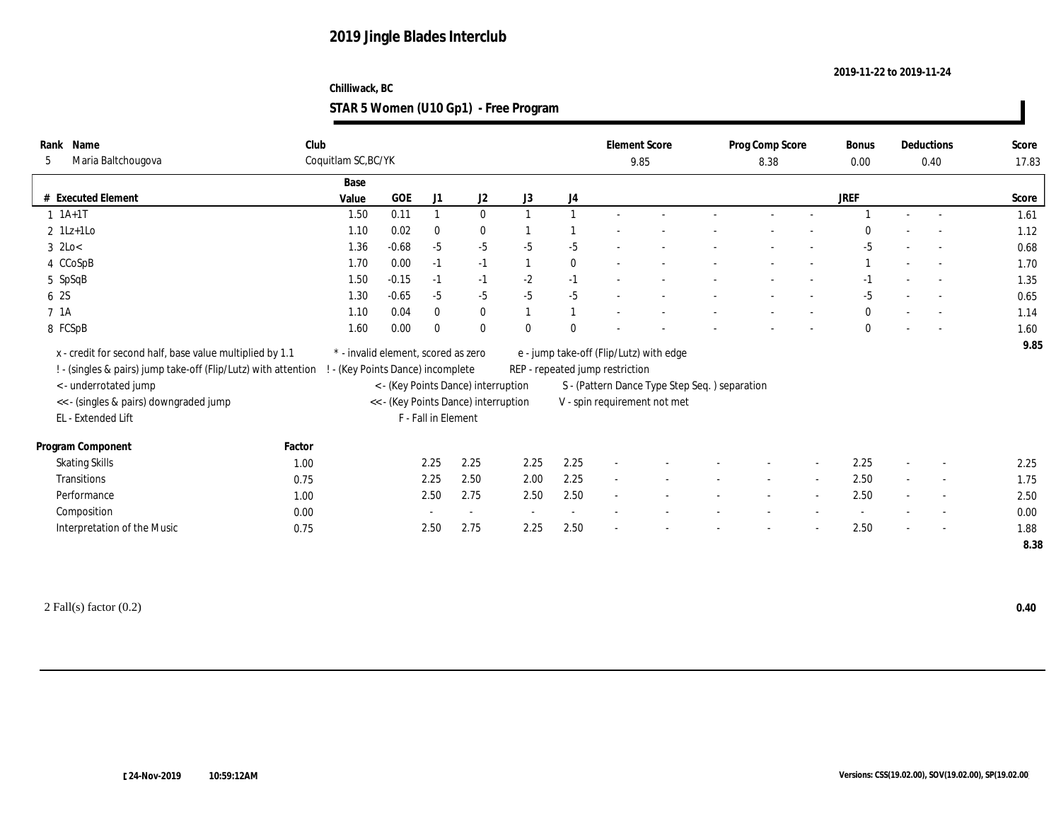#### **Chilliwack, BC STAR 5 Women (U10 Gp1) - Free Program**

| Rank Name                                                      | Club                |                                     |                     |                                      |                |              |                                 | <b>Element Score</b>                           | Prog Comp Score |        | Bonus        |                          | Deductions               | Score |
|----------------------------------------------------------------|---------------------|-------------------------------------|---------------------|--------------------------------------|----------------|--------------|---------------------------------|------------------------------------------------|-----------------|--------|--------------|--------------------------|--------------------------|-------|
| Maria Baltchougova<br>-5                                       | Coquitlam SC, BC/YK |                                     |                     |                                      |                |              |                                 | 9.85                                           | 8.38            |        | 0.00         |                          | 0.40                     | 17.83 |
|                                                                | Base                |                                     |                     |                                      |                |              |                                 |                                                |                 |        |              |                          |                          |       |
| # Executed Element                                             | Value               | GOE                                 | J1                  | J2                                   | J3             | J4           |                                 |                                                |                 |        | <b>JREF</b>  |                          |                          | Score |
| $1 \t1A+1T$                                                    | 1.50                | 0.11                                | $\mathbf{1}$        | $\bf{0}$                             | $\overline{1}$ | $\mathbf{1}$ |                                 |                                                |                 |        |              | $\sim$                   | $\sim$                   | 1.61  |
| $2$ 1Lz+1Lo                                                    | 1.10                | 0.02                                | $\bf{0}$            | $\bf{0}$                             |                |              |                                 |                                                |                 |        |              |                          |                          | 1.12  |
| $3$ 2Lo<                                                       | 1.36                | $-0.68$                             | $-5$                | $-5$                                 | $-5$           | $-5$         |                                 |                                                |                 |        | $-5$         |                          |                          | 0.68  |
| 4 CCoSpB                                                       | 1.70                | 0.00                                | $-1$                | $-1$                                 | -1             | $\mathbf{0}$ |                                 |                                                |                 |        |              | $\sim$                   |                          | 1.70  |
| 5 SpSqB                                                        | 1.50                | $-0.15$                             | $-1$                | $-1$                                 | $-2$           | $-1$         |                                 |                                                |                 |        | $-1$         |                          |                          | 1.35  |
| 6 2S                                                           | 1.30                | $-0.65$                             | $-5$                | $-5$                                 | $-5$           | $-5$         |                                 |                                                |                 | $\sim$ | $-5$         | $\sim$                   |                          | 0.65  |
| 7 1A                                                           | 1.10                | 0.04                                | $\bf{0}$            | $\bf{0}$                             | $\overline{1}$ | $\mathbf{1}$ |                                 |                                                |                 |        | $\mathbf{0}$ |                          | $\sim$                   | 1.14  |
| 8 FCSpB                                                        | 1.60                | 0.00                                | $\theta$            | $\bf{0}$                             | $\mathbf{0}$   | $\Omega$     |                                 |                                                |                 |        | $\bf{0}$     |                          |                          | 1.60  |
| x - credit for second half, base value multiplied by 1.1       |                     | * - invalid element, scored as zero |                     |                                      |                |              |                                 | e - jump take-off (Flip/Lutz) with edge        |                 |        |              |                          |                          | 9.85  |
| ! - (singles & pairs) jump take-off (Flip/Lutz) with attention |                     | ! - (Key Points Dance) incomplete   |                     |                                      |                |              | REP - repeated jump restriction |                                                |                 |        |              |                          |                          |       |
| < - underrotated jump                                          |                     |                                     |                     | < - (Key Points Dance) interruption  |                |              |                                 | S - (Pattern Dance Type Step Seq. ) separation |                 |        |              |                          |                          |       |
| << - (singles & pairs) downgraded jump                         |                     |                                     |                     | << - (Key Points Dance) interruption |                |              |                                 | V - spin requirement not met                   |                 |        |              |                          |                          |       |
| EL - Extended Lift                                             |                     |                                     | F - Fall in Element |                                      |                |              |                                 |                                                |                 |        |              |                          |                          |       |
|                                                                |                     |                                     |                     |                                      |                |              |                                 |                                                |                 |        |              |                          |                          |       |
| Program Component                                              | Factor              |                                     |                     |                                      |                |              |                                 |                                                |                 |        |              |                          |                          |       |
| <b>Skating Skills</b>                                          | 1.00                |                                     | 2.25                | 2.25                                 | 2.25           | 2.25         | $\sim$                          |                                                |                 |        | 2.25         |                          | $\sim$                   | 2.25  |
| Transitions                                                    | 0.75                |                                     | 2.25                | 2.50                                 | 2.00           | 2.25         | $\sim$                          |                                                |                 |        | 2.50         |                          | $\sim$                   | 1.75  |
| Performance                                                    | 1.00                |                                     | 2.50                | 2.75                                 | 2.50           | 2.50         | $\sim$                          |                                                |                 |        | 2.50         | $\overline{\phantom{a}}$ | $\sim$                   | 2.50  |
| Composition                                                    | 0.00                |                                     |                     | $\sim$                               | $\sim$         | $\sim$       |                                 |                                                |                 |        |              |                          | $\overline{\phantom{a}}$ | 0.00  |
| Interpretation of the Music                                    | 0.75                |                                     | 2.50                | 2.75                                 | 2.25           | 2.50         | $\overline{\phantom{a}}$        |                                                |                 |        | 2.50         |                          | $\overline{\phantom{a}}$ | 1.88  |
|                                                                |                     |                                     |                     |                                      |                |              |                                 |                                                |                 |        |              |                          |                          | 8.38  |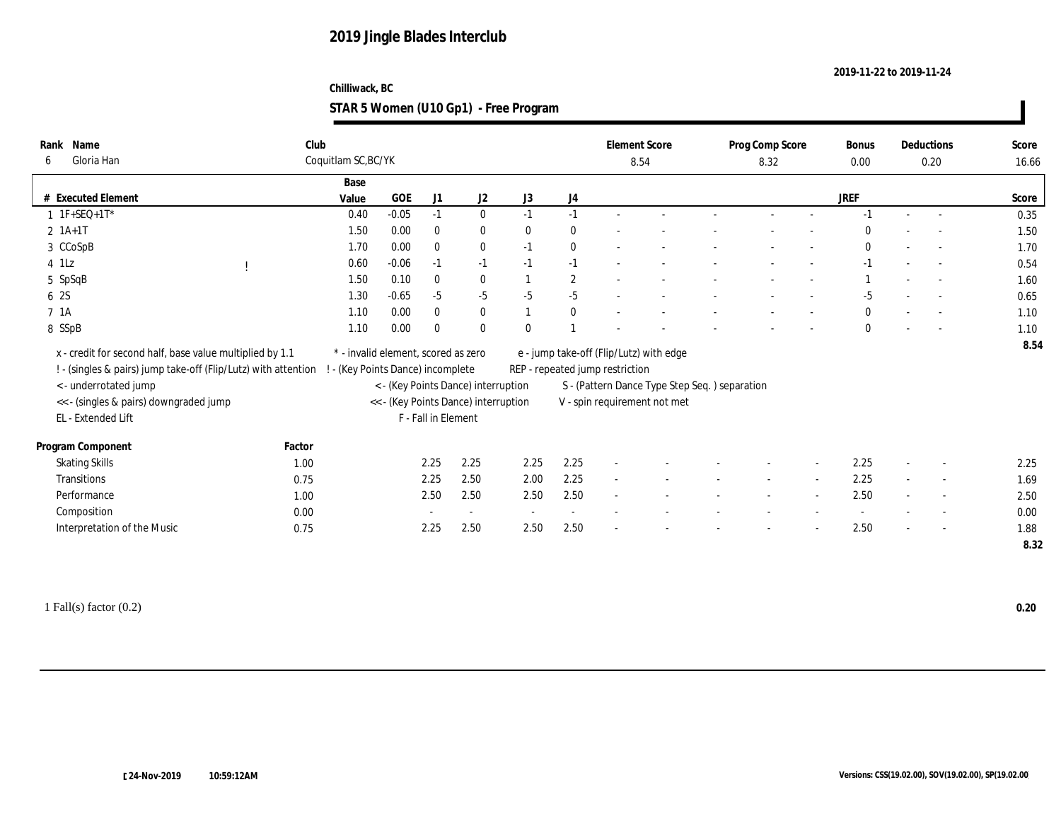#### **Chilliwack, BC STAR 5 Women (U10 Gp1) - Free Program**

| Rank Name                                                      | Club   |                                     |         |                     |                                      |                |              |                                 | <b>Element Score</b>                          | Prog Comp Score | Bonus        | Deductions               | Score |
|----------------------------------------------------------------|--------|-------------------------------------|---------|---------------------|--------------------------------------|----------------|--------------|---------------------------------|-----------------------------------------------|-----------------|--------------|--------------------------|-------|
| Gloria Han<br>6                                                |        | Coquitlam SC, BC/YK                 |         |                     |                                      |                |              |                                 | 8.54                                          | 8.32            | 0.00         | 0.20                     | 16.66 |
|                                                                |        | Base                                |         |                     |                                      |                |              |                                 |                                               |                 |              |                          |       |
| # Executed Element                                             |        | Value                               | GOE     | J1                  | J2                                   | J3             | J4           |                                 |                                               |                 | <b>JREF</b>  |                          | Score |
| $1 \tIF+SEQ+1T^*$                                              |        | 0.40                                | $-0.05$ | $-1$                | $\bf{0}$                             | $-1$           | $-1$         |                                 |                                               |                 | $-1$         |                          | 0.35  |
| $2 \; 1A+1T$                                                   |        | 1.50                                | 0.00    | $\bf{0}$            | $\bf{0}$                             | $\mathbf{0}$   | $\mathbf{0}$ |                                 |                                               |                 | $\Omega$     |                          | 1.50  |
| 3 CCoSpB                                                       |        | 1.70                                | 0.00    | $\mathbf{0}$        | $\bf{0}$                             | $-1$           | $\bf{0}$     |                                 |                                               |                 | $\mathbf{0}$ |                          | 1.70  |
| $4$ 1Lz                                                        |        | 0.60                                | $-0.06$ | $-1$                | $-1$                                 | $-1$           | $-1$         |                                 |                                               |                 | $-1$         |                          | 0.54  |
| 5 SpSqB                                                        |        | 1.50                                | 0.10    | $\bf{0}$            | $\bf{0}$                             | $\overline{1}$ | $\mathbf{2}$ |                                 |                                               |                 |              |                          | 1.60  |
| 6 2S                                                           |        | 1.30                                | $-0.65$ | $-5$                | $-5$                                 | $-5$           | $-5$         |                                 |                                               |                 | $-5$         |                          | 0.65  |
| 7 1A                                                           |        | 1.10                                | 0.00    | $\bf{0}$            | $\bf{0}$                             | $\overline{1}$ | $\bf{0}$     |                                 |                                               |                 | $\mathbf{0}$ | $\sim$                   | 1.10  |
| 8 SSpB                                                         |        | 1.10                                | 0.00    | $\mathbf{0}$        | $\mathbf{0}$                         | $\mathbf{0}$   |              |                                 |                                               |                 | $\mathbf{0}$ |                          | 1.10  |
| x - credit for second half, base value multiplied by 1.1       |        | * - invalid element, scored as zero |         |                     |                                      |                |              |                                 | e - jump take-off (Flip/Lutz) with edge       |                 |              |                          | 8.54  |
| ! - (singles & pairs) jump take-off (Flip/Lutz) with attention |        | ! - (Key Points Dance) incomplete   |         |                     |                                      |                |              | REP - repeated jump restriction |                                               |                 |              |                          |       |
| <- underrotated jump                                           |        |                                     |         |                     | < - (Key Points Dance) interruption  |                |              |                                 | S - (Pattern Dance Type Step Seq.) separation |                 |              |                          |       |
| << - (singles & pairs) downgraded jump                         |        |                                     |         |                     | << - (Key Points Dance) interruption |                |              |                                 | V - spin requirement not met                  |                 |              |                          |       |
| EL - Extended Lift                                             |        |                                     |         | F - Fall in Element |                                      |                |              |                                 |                                               |                 |              |                          |       |
|                                                                |        |                                     |         |                     |                                      |                |              |                                 |                                               |                 |              |                          |       |
| Program Component                                              | Factor |                                     |         |                     |                                      |                |              |                                 |                                               |                 |              |                          |       |
| <b>Skating Skills</b>                                          | 1.00   |                                     |         | 2.25                | 2.25                                 | 2.25           | 2.25         | $\sim$                          |                                               |                 | 2.25         |                          | 2.25  |
| Transitions                                                    | 0.75   |                                     |         | 2.25                | 2.50                                 | 2.00           | 2.25         | $\sim$                          |                                               |                 | 2.25         | $\overline{a}$           | 1.69  |
| Performance                                                    | 1.00   |                                     |         | 2.50                | 2.50                                 | 2.50           | 2.50         |                                 |                                               |                 | 2.50         | $\overline{\phantom{a}}$ | 2.50  |
| Composition                                                    | 0.00   |                                     |         |                     | $\sim$                               | $\sim$         | $\sim$       |                                 |                                               |                 |              | $\overline{\phantom{a}}$ | 0.00  |
| Interpretation of the Music                                    | 0.75   |                                     |         | 2.25                | 2.50                                 | 2.50           | 2.50         | ÷                               |                                               |                 | 2.50         |                          | 1.88  |
|                                                                |        |                                     |         |                     |                                      |                |              |                                 |                                               |                 |              |                          | 8.32  |
|                                                                |        |                                     |         |                     |                                      |                |              |                                 |                                               |                 |              |                          |       |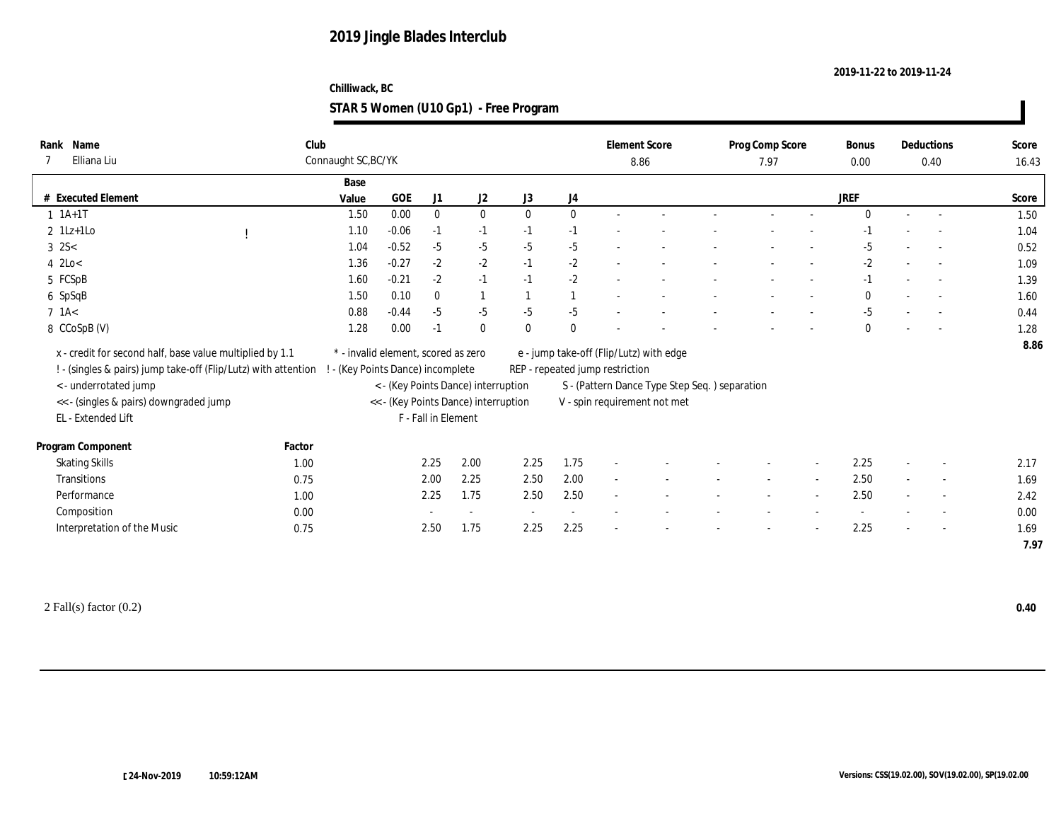#### **Chilliwack, BC STAR 5 Women (U10 Gp1) - Free Program**

| Name<br>Rank<br>Elliana Liu                                                                      | Club         | Connaught SC, BC/YK                 |         |                     |                                      |                |                | <b>Element Score</b><br>8.86            |                                               | Prog Comp Score<br>7.97 |                          | Bonus<br>$0.00\,$ |        | Deductions<br>0.40       | Score<br>16.43 |
|--------------------------------------------------------------------------------------------------|--------------|-------------------------------------|---------|---------------------|--------------------------------------|----------------|----------------|-----------------------------------------|-----------------------------------------------|-------------------------|--------------------------|-------------------|--------|--------------------------|----------------|
|                                                                                                  |              | Base                                |         |                     |                                      |                |                |                                         |                                               |                         |                          |                   |        |                          |                |
| # Executed Element                                                                               |              | Value                               | GOE     | J1                  | J2                                   | J3             | J4             |                                         |                                               |                         |                          | <b>JREF</b>       |        |                          | Score          |
| $1 \t1A+1T$                                                                                      |              | 1.50                                | 0.00    | $\mathbf{0}$        | $\bf{0}$                             | $\mathbf{0}$   | $\mathbf{0}$   |                                         |                                               |                         |                          | $\Omega$          | $\sim$ | $\sim$                   | 1.50           |
| $2$ 1Lz+1Lo                                                                                      |              | 1.10                                | $-0.06$ | $-1$                | $-1$                                 | $-1$           | $-1$           |                                         |                                               |                         |                          | -1                |        |                          | 1.04           |
| $3 \, 2S <$                                                                                      |              | 1.04                                | $-0.52$ | $-5$                | $-5$                                 | $-5$           | $-5$           |                                         |                                               |                         |                          | $-5$              |        |                          | 0.52           |
| $4$ 2Lo $<$                                                                                      |              | 1.36                                | $-0.27$ | $-2$                | $-2$                                 | $-1$           | $-2$           | $\sim$                                  |                                               |                         |                          | $-2$              | $\sim$ | $\sim$                   | 1.09           |
| 5 FCSpB                                                                                          |              | 1.60                                | $-0.21$ | $-2$                | $-1$                                 | $-1$           | $-2$           |                                         |                                               |                         |                          | $-1$              |        |                          | 1.39           |
| 6 SpSqB                                                                                          |              | 1.50                                | 0.10    | $\bf{0}$            | $\overline{1}$                       | $\mathbf{1}$   |                |                                         |                                               |                         | $\overline{\phantom{a}}$ | $\mathbf{0}$      |        | $\sim$                   | 1.60           |
| $7$ 1A $<$                                                                                       |              | 0.88                                | $-0.44$ | $-5$                | $-5$                                 | $-5$           | $-5$           |                                         |                                               |                         |                          | $-5$              |        | $\overline{\phantom{a}}$ | 0.44           |
| 8 CCoSpB (V)                                                                                     |              | 1.28                                | 0.00    | $-1$                | $\mathbf{0}$                         | $\theta$       | $\mathbf{0}$   |                                         |                                               |                         |                          | $\mathbf{0}$      |        |                          | 1.28           |
| x - credit for second half, base value multiplied by 1.1                                         |              | * - invalid element, scored as zero |         |                     |                                      |                |                | e - jump take-off (Flip/Lutz) with edge |                                               |                         |                          |                   |        |                          | 8.86           |
| ! - (singles & pairs) jump take-off (Flip/Lutz) with attention ! - (Key Points Dance) incomplete |              |                                     |         |                     |                                      |                |                | REP - repeated jump restriction         |                                               |                         |                          |                   |        |                          |                |
| <- underrotated jump                                                                             |              |                                     |         |                     | < - (Key Points Dance) interruption  |                |                |                                         | S - (Pattern Dance Type Step Seq.) separation |                         |                          |                   |        |                          |                |
| << - (singles & pairs) downgraded jump                                                           |              |                                     |         |                     | << - (Key Points Dance) interruption |                |                | V - spin requirement not met            |                                               |                         |                          |                   |        |                          |                |
| EL - Extended Lift                                                                               |              |                                     |         | F - Fall in Element |                                      |                |                |                                         |                                               |                         |                          |                   |        |                          |                |
|                                                                                                  |              |                                     |         |                     |                                      |                |                |                                         |                                               |                         |                          |                   |        |                          |                |
|                                                                                                  | Factor       |                                     |         |                     |                                      |                |                |                                         |                                               |                         |                          |                   |        |                          |                |
| Program Component                                                                                |              |                                     |         |                     |                                      |                |                |                                         |                                               |                         |                          | 2.25              |        |                          |                |
| <b>Skating Skills</b><br><b>Transitions</b>                                                      | 1.00         |                                     |         | 2.25                | 2.00                                 | 2.25           | 1.75           | $\sim$                                  |                                               | $\sim$                  | $\sim$                   |                   | $\sim$ | $\sim$                   | 2.17           |
| Performance                                                                                      | 0.75         |                                     |         | 2.00                | 2.25                                 | 2.50           | 2.00           |                                         |                                               |                         |                          | 2.50              |        | $\overline{\phantom{a}}$ | 1.69           |
|                                                                                                  | 1.00         |                                     |         | 2.25                | 1.75<br>$\sim$                       | 2.50<br>$\sim$ | 2.50<br>$\sim$ |                                         |                                               |                         |                          | 2.50              |        | $\overline{\phantom{a}}$ | 2.42           |
| Composition<br>Interpretation of the Music                                                       | 0.00<br>0.75 |                                     |         | 2.50                | 1.75                                 | 2.25           | 2.25           |                                         |                                               |                         |                          | 2.25              |        | $\overline{\phantom{a}}$ | 0.00<br>1.69   |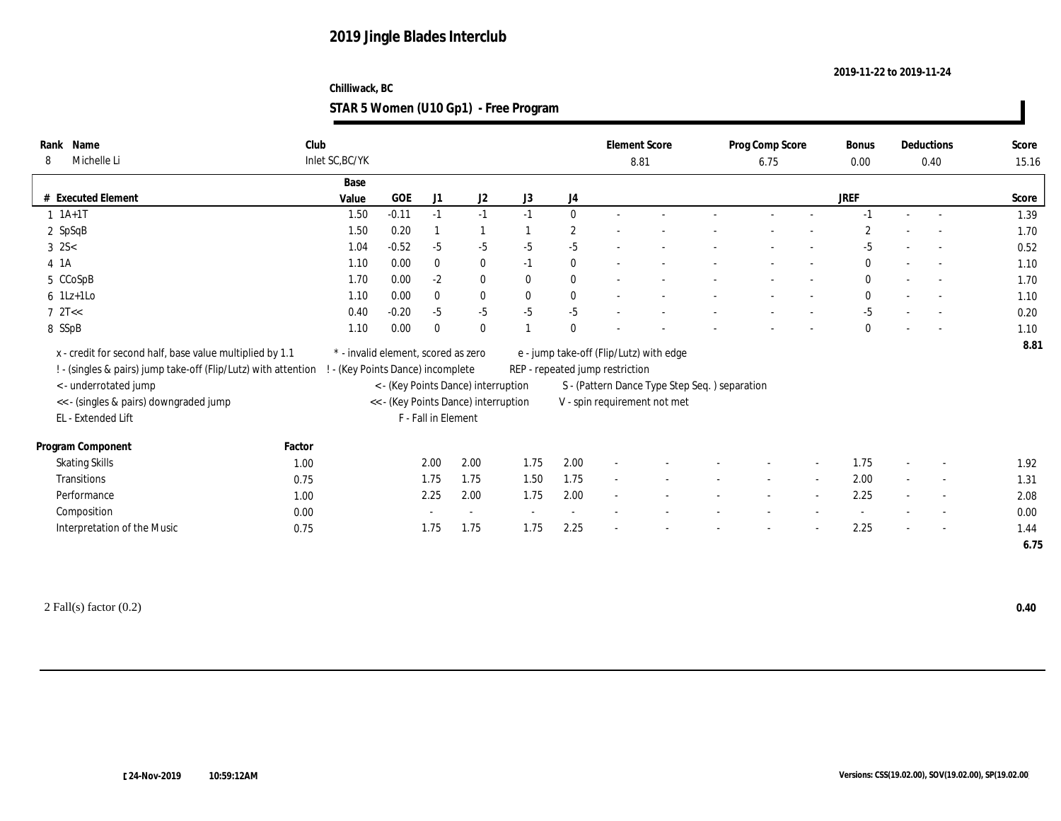#### **Chilliwack, BC STAR 5 Women (U10 Gp1) - Free Program**

| Name<br>Rank                                                                                     | Club            |                                      |                     |                |              |              | <b>Element Score</b>            |                                               | Prog Comp Score |                          | Bonus          |        | Deductions               | Score |
|--------------------------------------------------------------------------------------------------|-----------------|--------------------------------------|---------------------|----------------|--------------|--------------|---------------------------------|-----------------------------------------------|-----------------|--------------------------|----------------|--------|--------------------------|-------|
| Michelle Li<br>8                                                                                 | Inlet SC, BC/YK |                                      |                     |                |              |              | 8.81                            |                                               | 6.75            |                          | $0.00\,$       |        | 0.40                     | 15.16 |
|                                                                                                  | Base            |                                      |                     |                |              |              |                                 |                                               |                 |                          |                |        |                          |       |
| # Executed Element                                                                               | Value           | <b>GOE</b>                           | J1                  | J <sub>2</sub> | J3           | J4           |                                 |                                               |                 |                          | <b>JREF</b>    |        |                          | Score |
| $1 \t1A+1T$                                                                                      | 1.50            | $-0.11$                              | $-1$                | $-1$           | $-1$         | $\mathbf{0}$ |                                 |                                               |                 |                          | $-1$           | $\sim$ |                          | 1.39  |
| $2$ SpSqB                                                                                        | 1.50            | 0.20                                 |                     |                |              | $\mathbf{2}$ |                                 |                                               |                 |                          | $\overline{2}$ |        |                          | 1.70  |
| $3 \, 2S <$                                                                                      | 1.04            | $-0.52$                              | $-5$                | $-5$           | $-5$         | $-5$         |                                 |                                               |                 |                          | $-5$           |        |                          | 0.52  |
| $4$ 1A                                                                                           | 1.10            | 0.00                                 | $\bf{0}$            | $\bf{0}$       | $-1$         | $\bf{0}$     |                                 |                                               |                 |                          | $\mathbf{0}$   |        | $\overline{\phantom{a}}$ | 1.10  |
| 5 CCoSpB                                                                                         | 1.70            | 0.00                                 | $-2$                | $\bf{0}$       | $\mathbf{0}$ | $\bf{0}$     |                                 |                                               |                 |                          | $\mathbf{0}$   |        | $\overline{\phantom{a}}$ | 1.70  |
| $6$ 1Lz+1Lo                                                                                      | 1.10            | 0.00                                 | $\bf{0}$            | $\bf{0}$       | $\mathbf{0}$ | $\bf{0}$     |                                 |                                               |                 |                          | $\mathbf{0}$   |        | $\overline{\phantom{a}}$ | 1.10  |
| $7 \text{ } 2T <$                                                                                | 0.40            | $-0.20$                              | $-5$                | $-5$           | $-5$         | $-5$         |                                 |                                               |                 |                          | $-5$           |        |                          | 0.20  |
| 8 SSpB                                                                                           | 1.10            | 0.00                                 | $\mathbf{0}$        | $\bf{0}$       |              | $\mathbf{0}$ |                                 |                                               |                 |                          | $\bf{0}$       |        |                          | 1.10  |
| x - credit for second half, base value multiplied by 1.1                                         |                 | * - invalid element, scored as zero  |                     |                |              |              |                                 | e - jump take-off (Flip/Lutz) with edge       |                 |                          |                |        |                          | 8.81  |
| ! - (singles & pairs) jump take-off (Flip/Lutz) with attention ! - (Key Points Dance) incomplete |                 |                                      |                     |                |              |              | REP - repeated jump restriction |                                               |                 |                          |                |        |                          |       |
| <- underrotated jump                                                                             |                 | < - (Key Points Dance) interruption  |                     |                |              |              |                                 | S - (Pattern Dance Type Step Seq.) separation |                 |                          |                |        |                          |       |
| << - (singles & pairs) downgraded jump                                                           |                 | << - (Key Points Dance) interruption |                     |                |              |              |                                 | V - spin requirement not met                  |                 |                          |                |        |                          |       |
| EL - Extended Lift                                                                               |                 |                                      | F - Fall in Element |                |              |              |                                 |                                               |                 |                          |                |        |                          |       |
|                                                                                                  |                 |                                      |                     |                |              |              |                                 |                                               |                 |                          |                |        |                          |       |
| Program Component                                                                                | Factor          |                                      |                     |                |              |              |                                 |                                               |                 |                          |                |        |                          |       |
| <b>Skating Skills</b>                                                                            | 1.00            |                                      | 2.00                | 2.00           | 1.75         | 2.00         | $\overline{\phantom{a}}$        |                                               |                 |                          | 1.75           |        | $\overline{\phantom{a}}$ | 1.92  |
| Transitions                                                                                      | 0.75            |                                      | 1.75                | 1.75           | 1.50         | 1.75         | $\sim$                          |                                               | $\sim$          | $\sim$                   | 2.00           | $\sim$ | $\sim$                   | 1.31  |
| Performance                                                                                      | 1.00            |                                      | 2.25                | 2.00           | 1.75         | 2.00         |                                 |                                               |                 | $\overline{\phantom{a}}$ | 2.25           |        | $\overline{\phantom{a}}$ | 2.08  |
| Composition                                                                                      | 0.00            |                                      |                     | $\sim$         | $\sim$       |              |                                 |                                               |                 |                          | $\sim$         |        | $\sim$                   | 0.00  |
| Interpretation of the Music                                                                      | 0.75            |                                      | 1.75                | 1.75           | 1.75         | 2.25         |                                 |                                               |                 |                          | 2.25           |        | $\sim$                   | 1.44  |
|                                                                                                  |                 |                                      |                     |                |              |              |                                 |                                               |                 |                          |                |        |                          | 6.75  |
|                                                                                                  |                 |                                      |                     |                |              |              |                                 |                                               |                 |                          |                |        |                          |       |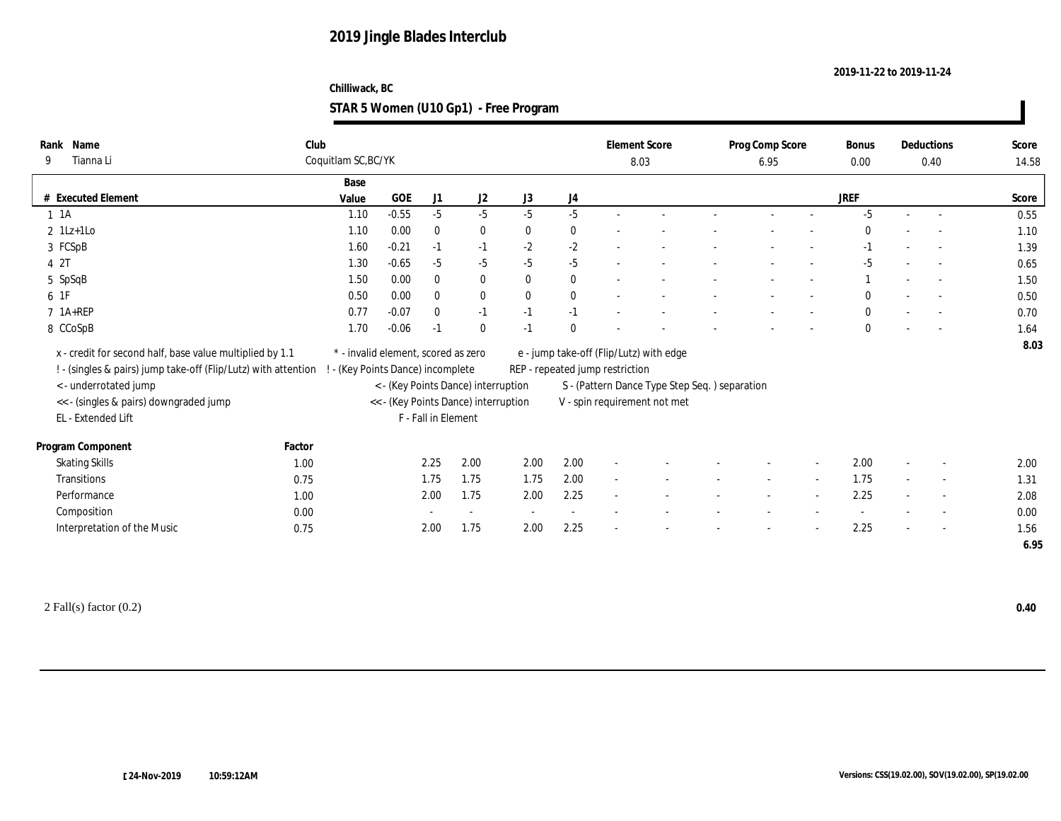#### **Chilliwack, BC STAR 5 Women (U10 Gp1) - Free Program**

| Name<br>Rank                                                   | Club   |                                     |         |                     |                                      |              |              | <b>Element Score</b>            |                                               | Prog Comp Score |                          | Bonus        |                          | Deductions               | Score |
|----------------------------------------------------------------|--------|-------------------------------------|---------|---------------------|--------------------------------------|--------------|--------------|---------------------------------|-----------------------------------------------|-----------------|--------------------------|--------------|--------------------------|--------------------------|-------|
| Tianna Li<br>9                                                 |        | Coquitlam SC, BC/YK                 |         |                     |                                      |              |              |                                 | 8.03                                          | 6.95            |                          | 0.00         |                          | 0.40                     | 14.58 |
|                                                                |        | Base                                |         |                     |                                      |              |              |                                 |                                               |                 |                          |              |                          |                          |       |
| # Executed Element                                             |        | Value                               | GOE     | J1                  | J2                                   | J3           | J4           |                                 |                                               |                 |                          | JREF         |                          |                          | Score |
| $1 \t1A$                                                       |        | 1.10                                | $-0.55$ | $-5$                | $-5$                                 | $-5$         | $-5$         |                                 |                                               |                 |                          | $-5$         |                          |                          | 0.55  |
| $2$ 1Lz+1Lo                                                    |        | 1.10                                | 0.00    | $\mathbf{0}$        | $\bf{0}$                             | $\mathbf{0}$ | $\mathbf{0}$ |                                 |                                               |                 |                          | $\Omega$     |                          |                          | 1.10  |
| 3 FCSpB                                                        |        | 1.60                                | $-0.21$ | $-1$                | $-1$                                 | $-2$         | $-2$         |                                 |                                               |                 |                          | $-1$         |                          |                          | 1.39  |
| 4 2T                                                           |        | 1.30                                | $-0.65$ | $-5$                | $-5$                                 | $-5$         | $-5$         |                                 |                                               |                 |                          | $-5$         |                          |                          | 0.65  |
| 5 SpSqB                                                        |        | 1.50                                | 0.00    | $\mathbf{0}$        | $\bf{0}$                             | $\theta$     | $\bf{0}$     |                                 |                                               |                 |                          |              |                          |                          | 1.50  |
| 6 1F                                                           |        | 0.50                                | 0.00    | $\mathbf{0}$        | $\mathbf{0}$                         | $\mathbf{0}$ | $\mathbf{0}$ |                                 |                                               |                 |                          | $\mathbf{0}$ |                          |                          | 0.50  |
| $7$ 1A+REP                                                     |        | 0.77                                | $-0.07$ | $\mathbf{0}$        | $-1$                                 | $-1$         | $-1$         |                                 |                                               |                 |                          | $\mathbf{0}$ |                          | $\overline{\phantom{a}}$ | 0.70  |
| 8 CCoSpB                                                       |        | 1.70                                | $-0.06$ | $-1$                | $\bf{0}$                             | $-1$         | $\mathbf{0}$ |                                 |                                               |                 |                          | $\mathbf{0}$ |                          |                          | 1.64  |
| x - credit for second half, base value multiplied by 1.1       |        | * - invalid element, scored as zero |         |                     |                                      |              |              |                                 | e - jump take-off (Flip/Lutz) with edge       |                 |                          |              |                          |                          | 8.03  |
| ! - (singles & pairs) jump take-off (Flip/Lutz) with attention |        | - (Key Points Dance) incomplete     |         |                     |                                      |              |              | REP - repeated jump restriction |                                               |                 |                          |              |                          |                          |       |
| < - underrotated jump                                          |        |                                     |         |                     | < - (Key Points Dance) interruption  |              |              |                                 | S - (Pattern Dance Type Step Seq.) separation |                 |                          |              |                          |                          |       |
| << - (singles & pairs) downgraded jump                         |        |                                     |         |                     | << - (Key Points Dance) interruption |              |              |                                 | V - spin requirement not met                  |                 |                          |              |                          |                          |       |
| EL - Extended Lift                                             |        |                                     |         | F - Fall in Element |                                      |              |              |                                 |                                               |                 |                          |              |                          |                          |       |
|                                                                |        |                                     |         |                     |                                      |              |              |                                 |                                               |                 |                          |              |                          |                          |       |
| Program Component                                              | Factor |                                     |         |                     |                                      |              |              |                                 |                                               |                 |                          |              |                          |                          |       |
| <b>Skating Skills</b>                                          | 1.00   |                                     |         | 2.25                | 2.00                                 | 2.00         | 2.00         |                                 |                                               |                 |                          | 2.00         |                          |                          | 2.00  |
| Transitions                                                    | 0.75   |                                     |         | 1.75                | 1.75                                 | 1.75         | 2.00         | $\sim$                          |                                               |                 | $\sim$                   | 1.75         | $\sim$                   | $\overline{a}$           | 1.31  |
| Performance                                                    | 1.00   |                                     |         | 2.00                | 1.75                                 | 2.00         | 2.25         | $\overline{\phantom{a}}$        |                                               |                 | $\overline{\phantom{a}}$ | 2.25         | $\overline{\phantom{a}}$ | $\sim$                   | 2.08  |
| Composition                                                    | 0.00   |                                     |         |                     | $\sim$                               | $\sim$       | $\sim$       |                                 |                                               |                 |                          | $\sim$       |                          | $\sim$                   | 0.00  |
| Interpretation of the Music                                    | 0.75   |                                     |         | 2.00                | 1.75                                 | 2.00         | 2.25         | ÷                               |                                               |                 | $\overline{\phantom{a}}$ | 2.25         |                          | $\sim$                   | 1.56  |
|                                                                |        |                                     |         |                     |                                      |              |              |                                 |                                               |                 |                          |              |                          |                          | 6.95  |
|                                                                |        |                                     |         |                     |                                      |              |              |                                 |                                               |                 |                          |              |                          |                          |       |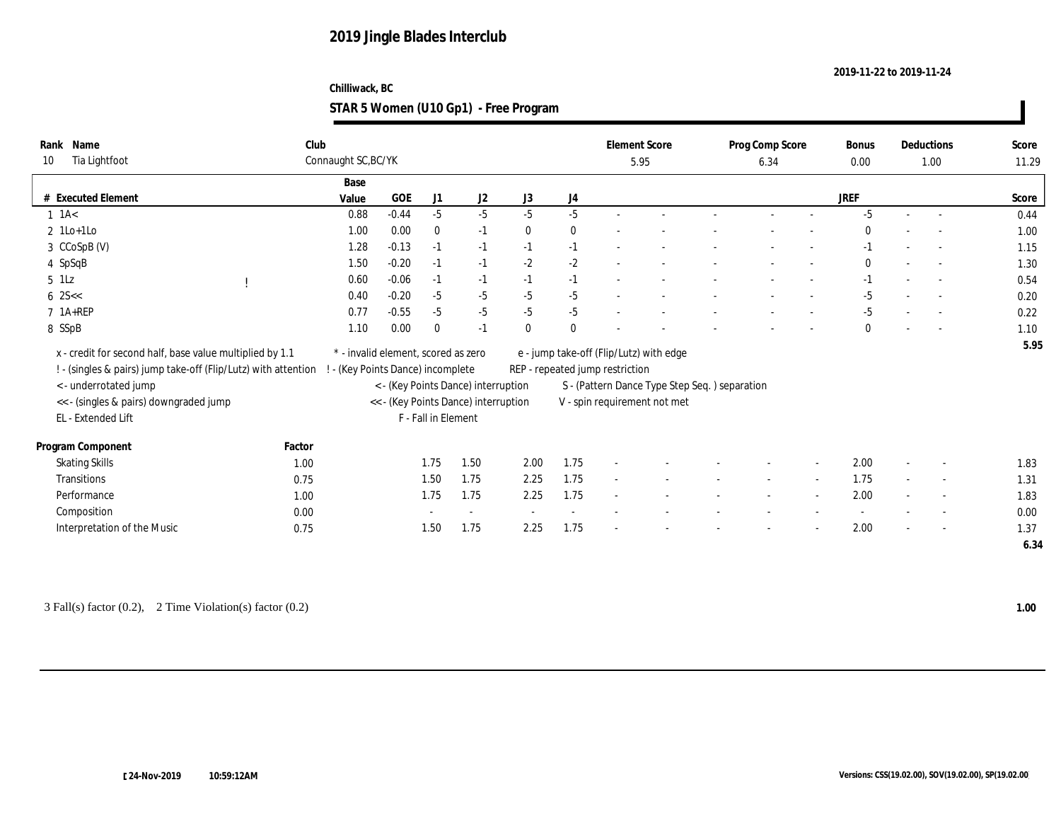#### **Chilliwack, BC STAR 5 Women (U10 Gp1) - Free Program**

| Name<br>Rank                                                   | Club                              |                                     |                     |                                      |              |              |                                 | <b>Element Score</b>                          | Prog Comp Score |        | Bonus        |        | Deductions               | Score |
|----------------------------------------------------------------|-----------------------------------|-------------------------------------|---------------------|--------------------------------------|--------------|--------------|---------------------------------|-----------------------------------------------|-----------------|--------|--------------|--------|--------------------------|-------|
| Tia Lightfoot<br>10                                            | Connaught SC, BC/YK               |                                     |                     |                                      |              |              |                                 | 5.95                                          | 6.34            |        | 0.00         |        | 1.00                     | 11.29 |
|                                                                | Base                              |                                     |                     |                                      |              |              |                                 |                                               |                 |        |              |        |                          |       |
| # Executed Element                                             | Value                             | $_{\rm GOE}$                        | J1                  | J2                                   | J3           | J4           |                                 |                                               |                 |        | <b>JREF</b>  |        |                          | Score |
| $1$ 1A $<$                                                     | 0.88                              | $-0.44$                             | $-5$                | $-5$                                 | $-5$         | $-5$         |                                 |                                               |                 |        | $-5$         | $\sim$ |                          | 0.44  |
| $2$ 1Lo+1Lo                                                    | 1.00                              | 0.00                                | $\bf{0}$            | $-1$                                 | $\mathbf{0}$ | $\bf{0}$     |                                 |                                               |                 |        | $\Omega$     |        | $\overline{a}$           | 1.00  |
| 3 CCoSpB (V)                                                   | 1.28                              | $-0.13$                             | $-1$                | $-1$                                 | $-1$         | $-1$         |                                 |                                               |                 |        | $-1$         |        |                          | 1.15  |
| 4 SpSqB                                                        | 1.50                              | $-0.20$                             | $-1$                | $-1$                                 | $-2$         | $-2$         |                                 |                                               |                 |        | $\mathbf{0}$ |        |                          | 1.30  |
| $5$ $1$ Lz                                                     | 0.60                              | $-0.06$                             | $-1$                | $-1$                                 | $-1$         | $-1$         |                                 |                                               |                 |        | $-1$         |        |                          | 0.54  |
| $6 \, 25 <$                                                    | 0.40                              | $-0.20$                             | $-5$                | $-5$                                 | $-5$         | $-5$         |                                 |                                               |                 | $\sim$ | $-5$         |        | $\overline{\phantom{a}}$ | 0.20  |
| $7$ 1A+REP                                                     | 0.77                              | $-0.55$                             | $-5$                | $-5$                                 | $-5$         | $-5$         |                                 |                                               |                 |        | $-5$         |        |                          | 0.22  |
| 8 SSpB                                                         | 1.10                              | 0.00                                | $\bf{0}$            | $-1$                                 | $\theta$     | $\mathbf{0}$ |                                 |                                               |                 |        | $\mathbf{0}$ |        |                          | 1.10  |
| x - credit for second half, base value multiplied by 1.1       |                                   | * - invalid element, scored as zero |                     |                                      |              |              |                                 | e - jump take-off (Flip/Lutz) with edge       |                 |        |              |        |                          | 5.95  |
| ! - (singles & pairs) jump take-off (Flip/Lutz) with attention | ! - (Key Points Dance) incomplete |                                     |                     |                                      |              |              | REP - repeated jump restriction |                                               |                 |        |              |        |                          |       |
| < - underrotated jump                                          |                                   |                                     |                     | < - (Key Points Dance) interruption  |              |              |                                 | S - (Pattern Dance Type Step Seq.) separation |                 |        |              |        |                          |       |
| << - (singles & pairs) downgraded jump                         |                                   |                                     |                     | << - (Key Points Dance) interruption |              |              |                                 | V - spin requirement not met                  |                 |        |              |        |                          |       |
| EL - Extended Lift                                             |                                   |                                     | F - Fall in Element |                                      |              |              |                                 |                                               |                 |        |              |        |                          |       |
|                                                                |                                   |                                     |                     |                                      |              |              |                                 |                                               |                 |        |              |        |                          |       |
| Program Component                                              | Factor                            |                                     |                     |                                      |              |              |                                 |                                               |                 |        |              |        |                          |       |
| <b>Skating Skills</b>                                          | 1.00                              |                                     | 1.75                | 1.50                                 | 2.00         | 1.75         | $\sim$                          |                                               |                 |        | 2.00         |        | $\sim$                   | 1.83  |
| Transitions                                                    | 0.75                              |                                     | 1.50                | 1.75                                 | 2.25         | 1.75         | $\sim$                          |                                               | $\sim$          | $\sim$ | 1.75         | $\sim$ | $\overline{\phantom{a}}$ | 1.31  |
| Performance                                                    | 1.00                              |                                     | 1.75                | 1.75                                 | 2.25         | 1.75         | $\sim$                          |                                               |                 | $\sim$ | 2.00         |        | $\sim$                   | 1.83  |
| Composition                                                    | 0.00                              |                                     |                     | $\sim$                               | $\sim$       | $\sim$       |                                 |                                               |                 |        | $\sim$       |        | $\sim$                   | 0.00  |
| Interpretation of the Music                                    | 0.75                              |                                     | 1.50                | 1.75                                 | 2.25         | 1.75         |                                 |                                               |                 |        | 2.00         |        | $\sim$                   | 1.37  |
|                                                                |                                   |                                     |                     |                                      |              |              |                                 |                                               |                 |        |              |        |                          | 6.34  |